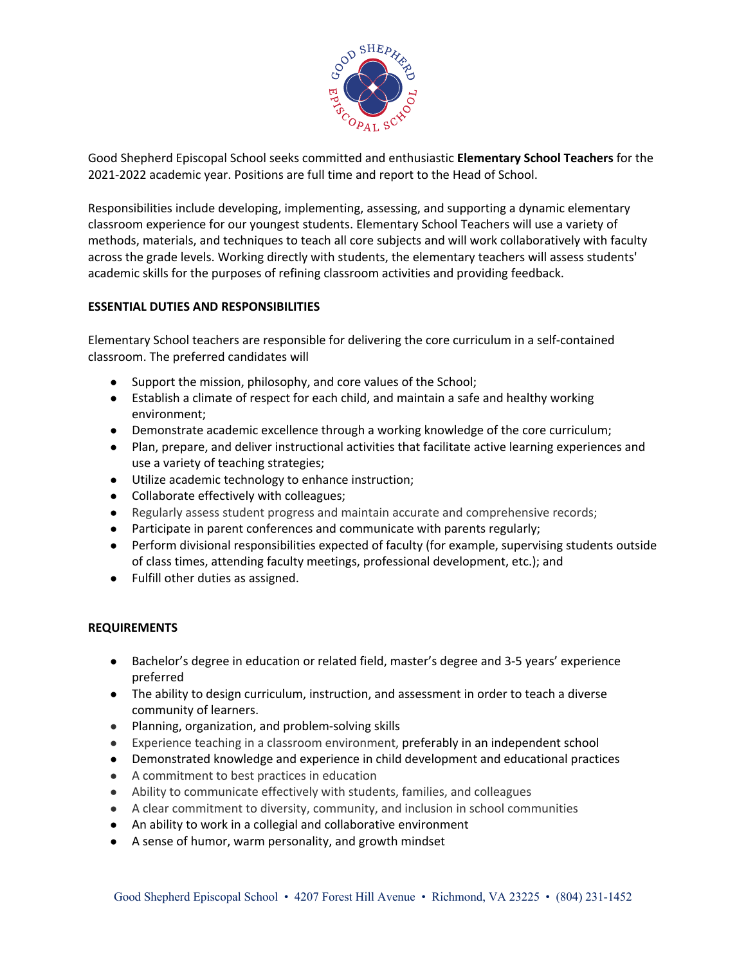

Good Shepherd Episcopal School seeks committed and enthusiastic **Elementary School Teachers** for the 2021-2022 academic year. Positions are full time and report to the Head of School.

Responsibilities include developing, implementing, assessing, and supporting a dynamic elementary classroom experience for our youngest students. Elementary School Teachers will use a variety of methods, materials, and techniques to teach all core subjects and will work collaboratively with faculty across the grade levels. Working directly with students, the elementary teachers will assess students' academic skills for the purposes of refining classroom activities and providing feedback.

## **ESSENTIAL DUTIES AND RESPONSIBILITIES**

Elementary School teachers are responsible for delivering the core curriculum in a self-contained classroom. The preferred candidates will

- Support the mission, philosophy, and core values of the School;
- Establish a climate of respect for each child, and maintain a safe and healthy working environment;
- Demonstrate academic excellence through a working knowledge of the core curriculum;
- Plan, prepare, and deliver instructional activities that facilitate active learning experiences and use a variety of teaching strategies;
- Utilize academic technology to enhance instruction;
- Collaborate effectively with colleagues;
- Regularly assess student progress and maintain accurate and comprehensive records;
- Participate in parent conferences and communicate with parents regularly;
- Perform divisional responsibilities expected of faculty (for example, supervising students outside of class times, attending faculty meetings, professional development, etc.); and
- Fulfill other duties as assigned.

## **REQUIREMENTS**

- Bachelor's degree in education or related field, master's degree and 3-5 years' experience preferred
- The ability to design curriculum, instruction, and assessment in order to teach a diverse community of learners.
- Planning, organization, and problem-solving skills
- Experience teaching in a classroom environment, preferably in an independent school
- Demonstrated knowledge and experience in child development and educational practices
- A commitment to best practices in education
- Ability to communicate effectively with students, families, and colleagues
- A clear commitment to diversity, community, and inclusion in school communities
- An ability to work in a collegial and collaborative environment
- A sense of humor, warm personality, and growth mindset